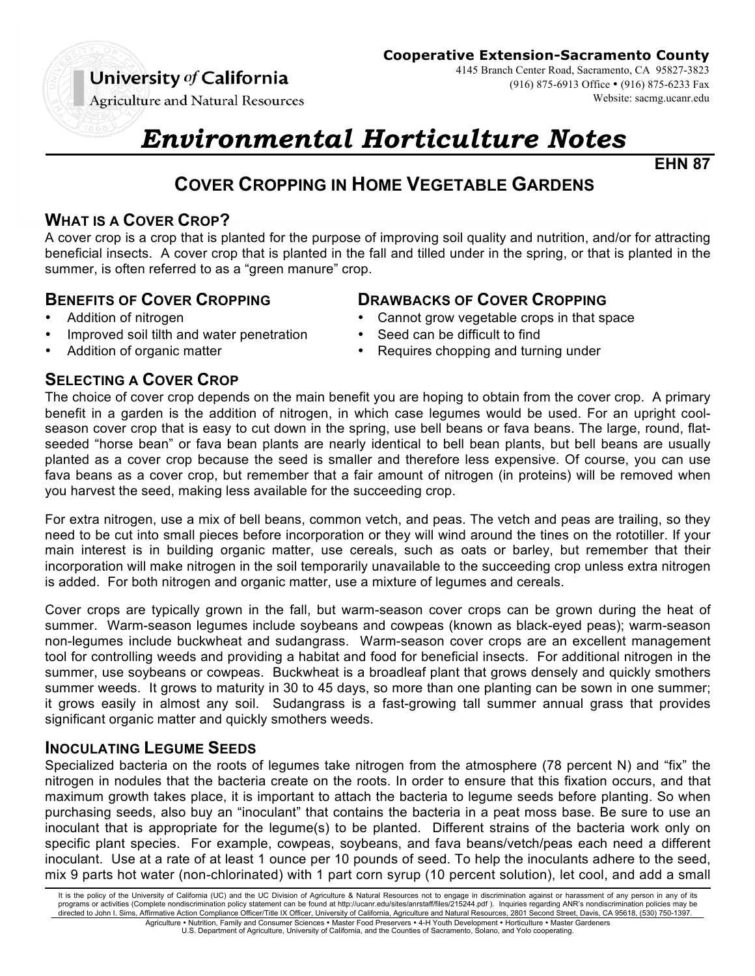# University of California

**Agriculture and Natural Resources** 

**Cooperative Extension-Sacramento County**

4145 Branch Center Road, Sacramento, CA 95827-3823 (916) 875-6913 Office • (916) 875-6233 Fax Website: sacmg.ucanr.edu

# *Environmental Horticulture Notes*

**EHN 87**

# **COVER CROPPING IN HOME VEGETABLE GARDENS**

# **WHAT IS A COVER CROP?**

A cover crop is a crop that is planted for the purpose of improving soil quality and nutrition, and/or for attracting beneficial insects. A cover crop that is planted in the fall and tilled under in the spring, or that is planted in the summer, is often referred to as a "green manure" crop.

# **BENEFITS OF COVER CROPPING DRAWBACKS OF COVER CROPPING**

- 
- Improved soil tilth and water penetration Seed can be difficult to find
- 

# **SELECTING A COVER CROP**

The choice of cover crop depends on the main benefit you are hoping to obtain from the cover crop. A primary benefit in a garden is the addition of nitrogen, in which case legumes would be used. For an upright coolseason cover crop that is easy to cut down in the spring, use bell beans or fava beans. The large, round, flatseeded "horse bean" or fava bean plants are nearly identical to bell bean plants, but bell beans are usually planted as a cover crop because the seed is smaller and therefore less expensive. Of course, you can use fava beans as a cover crop, but remember that a fair amount of nitrogen (in proteins) will be removed when you harvest the seed, making less available for the succeeding crop.

For extra nitrogen, use a mix of bell beans, common vetch, and peas. The vetch and peas are trailing, so they need to be cut into small pieces before incorporation or they will wind around the tines on the rototiller. If your main interest is in building organic matter, use cereals, such as oats or barley, but remember that their incorporation will make nitrogen in the soil temporarily unavailable to the succeeding crop unless extra nitrogen is added. For both nitrogen and organic matter, use a mixture of legumes and cereals.

Cover crops are typically grown in the fall, but warm-season cover crops can be grown during the heat of summer. Warm-season legumes include soybeans and cowpeas (known as black-eyed peas); warm-season non-legumes include buckwheat and sudangrass. Warm-season cover crops are an excellent management tool for controlling weeds and providing a habitat and food for beneficial insects. For additional nitrogen in the summer, use soybeans or cowpeas. Buckwheat is a broadleaf plant that grows densely and quickly smothers summer weeds. It grows to maturity in 30 to 45 days, so more than one planting can be sown in one summer; it grows easily in almost any soil. Sudangrass is a fast-growing tall summer annual grass that provides significant organic matter and quickly smothers weeds.

# **INOCULATING LEGUME SEEDS**

Specialized bacteria on the roots of legumes take nitrogen from the atmosphere (78 percent N) and "fix" the nitrogen in nodules that the bacteria create on the roots. In order to ensure that this fixation occurs, and that maximum growth takes place, it is important to attach the bacteria to legume seeds before planting. So when purchasing seeds, also buy an "inoculant" that contains the bacteria in a peat moss base. Be sure to use an inoculant that is appropriate for the legume(s) to be planted. Different strains of the bacteria work only on specific plant species. For example, cowpeas, soybeans, and fava beans/vetch/peas each need a different inoculant. Use at a rate of at least 1 ounce per 10 pounds of seed. To help the inoculants adhere to the seed, mix 9 parts hot water (non-chlorinated) with 1 part corn syrup (10 percent solution), let cool, and add a small

- Addition of nitrogen **•** Cannot grow vegetable crops in that space
	-
- Addition of organic matter **•** Requires chopping and turning under